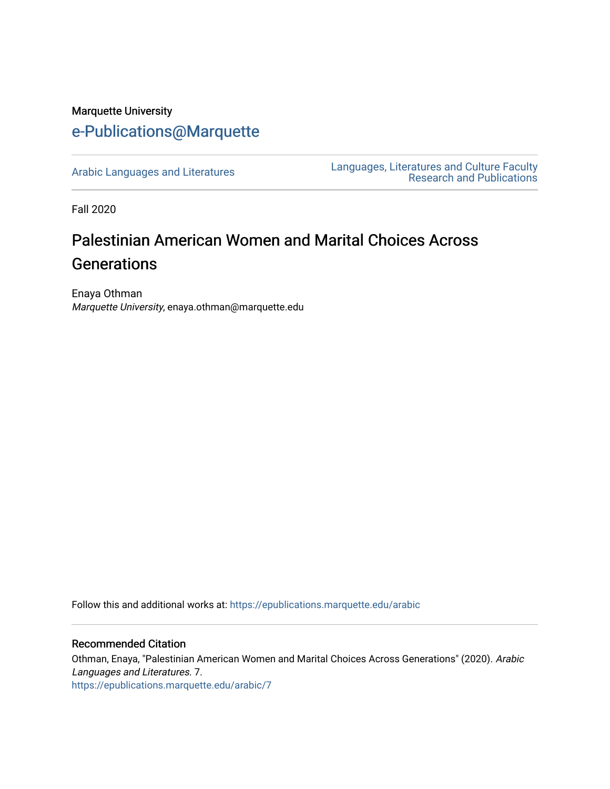## Marquette University [e-Publications@Marquette](https://epublications.marquette.edu/)

[Arabic Languages and Literatures](https://epublications.marquette.edu/arabic) Languages, Literatures and Culture Faculty [Research and Publications](https://epublications.marquette.edu/fola_fac) 

Fall 2020

# Palestinian American Women and Marital Choices Across **Generations**

Enaya Othman Marquette University, enaya.othman@marquette.edu

Follow this and additional works at: [https://epublications.marquette.edu/arabic](https://epublications.marquette.edu/arabic?utm_source=epublications.marquette.edu%2Farabic%2F7&utm_medium=PDF&utm_campaign=PDFCoverPages) 

#### Recommended Citation

Othman, Enaya, "Palestinian American Women and Marital Choices Across Generations" (2020). Arabic Languages and Literatures. 7. [https://epublications.marquette.edu/arabic/7](https://epublications.marquette.edu/arabic/7?utm_source=epublications.marquette.edu%2Farabic%2F7&utm_medium=PDF&utm_campaign=PDFCoverPages)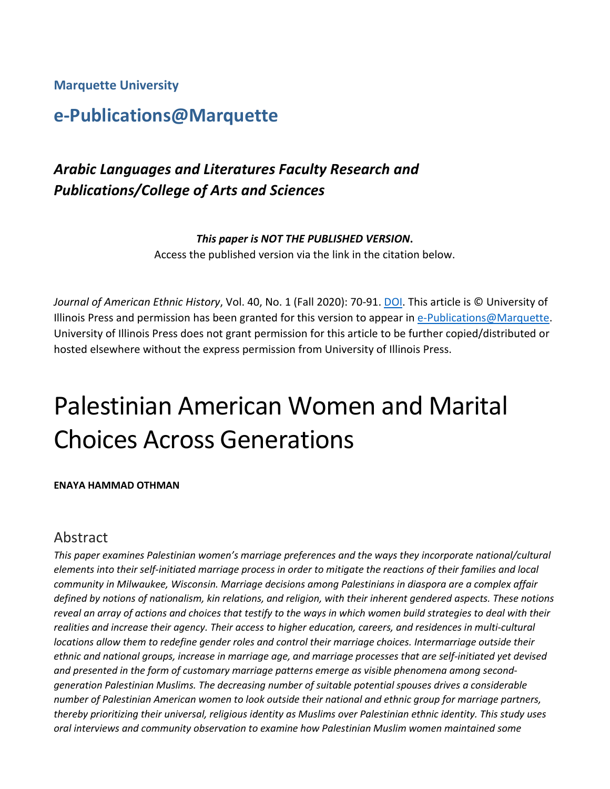**Marquette University**

# **e-Publications@Marquette**

# *Arabic Languages and Literatures Faculty Research and Publications/College of Arts and Sciences*

#### *This paper is NOT THE PUBLISHED VERSION***.**

Access the published version via the link in the citation below.

Journal of American Ethnic History, Vol. 40, No. 1 (Fall 2020): 70-91. **DOI**. This article is © University of Illinois Press and permission has been granted for this version to appear in [e-Publications@Marquette.](http://epublications.marquette.edu/) University of Illinois Press does not grant permission for this article to be further copied/distributed or hosted elsewhere without the express permission from University of Illinois Press.

# Palestinian American Women and Marital Choices Across Generations

#### **ENAYA HAMMAD OTHMAN**

### Abstract

*This paper examines Palestinian women's marriage preferences and the ways they incorporate national/cultural elements into their self-initiated marriage process in order to mitigate the reactions of their families and local community in Milwaukee, Wisconsin. Marriage decisions among Palestinians in diaspora are a complex affair defined by notions of nationalism, kin relations, and religion, with their inherent gendered aspects. These notions reveal an array of actions and choices that testify to the ways in which women build strategies to deal with their*  realities and increase their agency. Their access to higher education, careers, and residences in multi-cultural *locations allow them to redefine gender roles and control their marriage choices. Intermarriage outside their ethnic and national groups, increase in marriage age, and marriage processes that are self-initiated yet devised and presented in the form of customary marriage patterns emerge as visible phenomena among secondgeneration Palestinian Muslims. The decreasing number of suitable potential spouses drives a considerable number of Palestinian American women to look outside their national and ethnic group for marriage partners, thereby prioritizing their universal, religious identity as Muslims over Palestinian ethnic identity. This study uses oral interviews and community observation to examine how Palestinian Muslim women maintained some*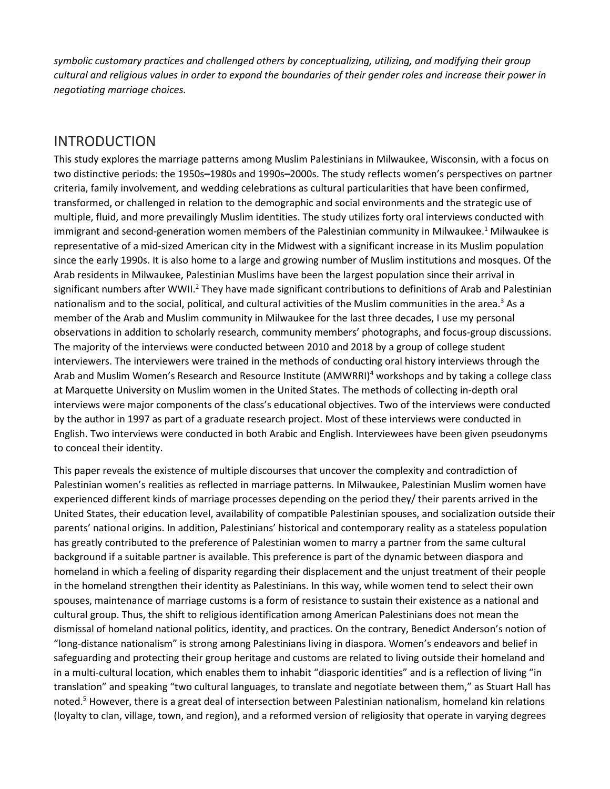*symbolic customary practices and challenged others by conceptualizing, utilizing, and modifying their group cultural and religious values in order to expand the boundaries of their gender roles and increase their power in negotiating marriage choices.*

## INTRODUCTION

This study explores the marriage patterns among Muslim Palestinians in Milwaukee, Wisconsin, with a focus on two distinctive periods: the 1950s**–**1980s and 1990s**–**2000s. The study reflects women's perspectives on partner criteria, family involvement, and wedding celebrations as cultural particularities that have been confirmed, transformed, or challenged in relation to the demographic and social environments and the strategic use of multiple, fluid, and more prevailingly Muslim identities. The study utilizes forty oral interviews conducted with immigrant and second-generation women members of the Palestinian community in Milwaukee.<sup>1</sup> Milwaukee is representative of a mid-sized American city in the Midwest with a significant increase in its Muslim population since the early 1990s. It is also home to a large and growing number of Muslim institutions and mosques. Of the Arab residents in Milwaukee, Palestinian Muslims have been the largest population since their arrival in significant numbers after WWII.<sup>2</sup> They have made significant contributions to definitions of Arab and Palestinian nationalism and to the social, political, and cultural activities of the Muslim communities in the area.<sup>3</sup> As a member of the Arab and Muslim community in Milwaukee for the last three decades, I use my personal observations in addition to scholarly research, community members' photographs, and focus-group discussions. The majority of the interviews were conducted between 2010 and 2018 by a group of college student interviewers. The interviewers were trained in the methods of conducting oral history interviews through the Arab and Muslim Women's Research and Resource Institute (AMWRRI)<sup>4</sup> workshops and by taking a college class at Marquette University on Muslim women in the United States. The methods of collecting in-depth oral interviews were major components of the class's educational objectives. Two of the interviews were conducted by the author in 1997 as part of a graduate research project. Most of these interviews were conducted in English. Two interviews were conducted in both Arabic and English. Interviewees have been given pseudonyms to conceal their identity.

This paper reveals the existence of multiple discourses that uncover the complexity and contradiction of Palestinian women's realities as reflected in marriage patterns. In Milwaukee, Palestinian Muslim women have experienced different kinds of marriage processes depending on the period they/ their parents arrived in the United States, their education level, availability of compatible Palestinian spouses, and socialization outside their parents' national origins. In addition, Palestinians' historical and contemporary reality as a stateless population has greatly contributed to the preference of Palestinian women to marry a partner from the same cultural background if a suitable partner is available. This preference is part of the dynamic between diaspora and homeland in which a feeling of disparity regarding their displacement and the unjust treatment of their people in the homeland strengthen their identity as Palestinians. In this way, while women tend to select their own spouses, maintenance of marriage customs is a form of resistance to sustain their existence as a national and cultural group. Thus, the shift to religious identification among American Palestinians does not mean the dismissal of homeland national politics, identity, and practices. On the contrary, Benedict Anderson's notion of "long-distance nationalism" is strong among Palestinians living in diaspora. Women's endeavors and belief in safeguarding and protecting their group heritage and customs are related to living outside their homeland and in a multi-cultural location, which enables them to inhabit "diasporic identities" and is a reflection of living "in translation" and speaking "two cultural languages, to translate and negotiate between them," as Stuart Hall has noted.5 However, there is a great deal of intersection between Palestinian nationalism, homeland kin relations (loyalty to clan, village, town, and region), and a reformed version of religiosity that operate in varying degrees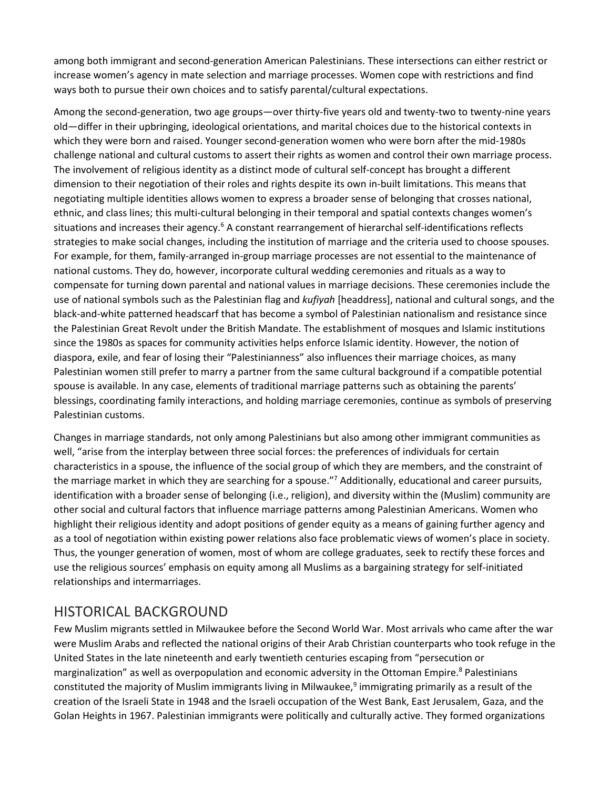among both immigrant and second-generation American Palestinians. These intersections can either restrict or increase women's agency in mate selection and marriage processes. Women cope with restrictions and find ways both to pursue their own choices and to satisfy parental/cultural expectations.

Among the second-generation, two age groups—over thirty-five years old and twenty-two to twenty-nine years old—differ in their upbringing, ideological orientations, and marital choices due to the historical contexts in which they were born and raised. Younger second-generation women who were born after the mid-1980s challenge national and cultural customs to assert their rights as women and control their own marriage process. The involvement of religious identity as a distinct mode of cultural self-concept has brought a different dimension to their negotiation of their roles and rights despite its own in-built limitations. This means that negotiating multiple identities allows women to express a broader sense of belonging that crosses national, ethnic, and class lines; this multi-cultural belonging in their temporal and spatial contexts changes women's situations and increases their agency.<sup>6</sup> A constant rearrangement of hierarchal self-identifications reflects strategies to make social changes, including the institution of marriage and the criteria used to choose spouses. For example, for them, family-arranged in-group marriage processes are not essential to the maintenance of national customs. They do, however, incorporate cultural wedding ceremonies and rituals as a way to compensate for turning down parental and national values in marriage decisions. These ceremonies include the use of national symbols such as the Palestinian flag and *kufiyah* [headdress], national and cultural songs, and the black-and-white patterned headscarf that has become a symbol of Palestinian nationalism and resistance since the Palestinian Great Revolt under the British Mandate. The establishment of mosques and Islamic institutions since the 1980s as spaces for community activities helps enforce Islamic identity. However, the notion of diaspora, exile, and fear of losing their "Palestinianness" also influences their marriage choices, as many Palestinian women still prefer to marry a partner from the same cultural background if a compatible potential spouse is available. In any case, elements of traditional marriage patterns such as obtaining the parents' blessings, coordinating family interactions, and holding marriage ceremonies, continue as symbols of preserving Palestinian customs.

Changes in marriage standards, not only among Palestinians but also among other immigrant communities as well, "arise from the interplay between three social forces: the preferences of individuals for certain characteristics in a spouse, the influence of the social group of which they are members, and the constraint of the marriage market in which they are searching for a spouse."7 Additionally, educational and career pursuits, identification with a broader sense of belonging (i.e., religion), and diversity within the (Muslim) community are other social and cultural factors that influence marriage patterns among Palestinian Americans. Women who highlight their religious identity and adopt positions of gender equity as a means of gaining further agency and as a tool of negotiation within existing power relations also face problematic views of women's place in society. Thus, the younger generation of women, most of whom are college graduates, seek to rectify these forces and use the religious sources' emphasis on equity among all Muslims as a bargaining strategy for self-initiated relationships and intermarriages.

## HISTORICAL BACKGROUND

Few Muslim migrants settled in Milwaukee before the Second World War. Most arrivals who came after the war were Muslim Arabs and reflected the national origins of their Arab Christian counterparts who took refuge in the United States in the late nineteenth and early twentieth centuries escaping from "persecution or marginalization" as well as overpopulation and economic adversity in the Ottoman Empire.<sup>8</sup> Palestinians constituted the majority of Muslim immigrants living in Milwaukee, $9$  immigrating primarily as a result of the creation of the Israeli State in 1948 and the Israeli occupation of the West Bank, East Jerusalem, Gaza, and the Golan Heights in 1967. Palestinian immigrants were politically and culturally active. They formed organizations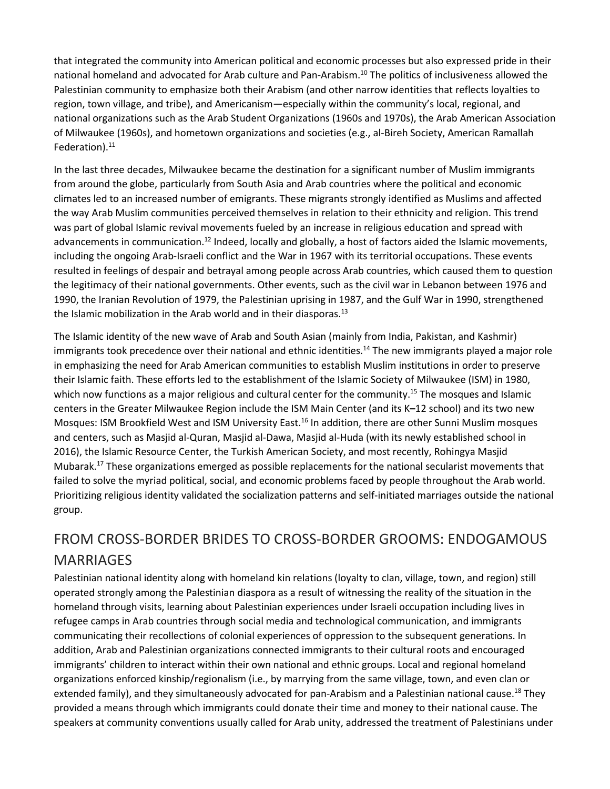that integrated the community into American political and economic processes but also expressed pride in their national homeland and advocated for Arab culture and Pan-Arabism.<sup>10</sup> The politics of inclusiveness allowed the Palestinian community to emphasize both their Arabism (and other narrow identities that reflects loyalties to region, town village, and tribe), and Americanism—especially within the community's local, regional, and national organizations such as the Arab Student Organizations (1960s and 1970s), the Arab American Association of Milwaukee (1960s), and hometown organizations and societies (e.g., al-Bireh Society, American Ramallah Federation). $11$ 

In the last three decades, Milwaukee became the destination for a significant number of Muslim immigrants from around the globe, particularly from South Asia and Arab countries where the political and economic climates led to an increased number of emigrants. These migrants strongly identified as Muslims and affected the way Arab Muslim communities perceived themselves in relation to their ethnicity and religion. This trend was part of global Islamic revival movements fueled by an increase in religious education and spread with advancements in communication.<sup>12</sup> Indeed, locally and globally, a host of factors aided the Islamic movements, including the ongoing Arab-Israeli conflict and the War in 1967 with its territorial occupations. These events resulted in feelings of despair and betrayal among people across Arab countries, which caused them to question the legitimacy of their national governments. Other events, such as the civil war in Lebanon between 1976 and 1990, the Iranian Revolution of 1979, the Palestinian uprising in 1987, and the Gulf War in 1990, strengthened the Islamic mobilization in the Arab world and in their diasporas.<sup>13</sup>

The Islamic identity of the new wave of Arab and South Asian (mainly from India, Pakistan, and Kashmir) immigrants took precedence over their national and ethnic identities.<sup>14</sup> The new immigrants played a major role in emphasizing the need for Arab American communities to establish Muslim institutions in order to preserve their Islamic faith. These efforts led to the establishment of the Islamic Society of Milwaukee (ISM) in 1980, which now functions as a major religious and cultural center for the community.<sup>15</sup> The mosques and Islamic centers in the Greater Milwaukee Region include the ISM Main Center (and its K**–**12 school) and its two new Mosques: ISM Brookfield West and ISM University East.16 In addition, there are other Sunni Muslim mosques and centers, such as Masjid al-Quran, Masjid al-Dawa, Masjid al-Huda (with its newly established school in 2016), the Islamic Resource Center, the Turkish American Society, and most recently, Rohingya Masjid Mubarak.17 These organizations emerged as possible replacements for the national secularist movements that failed to solve the myriad political, social, and economic problems faced by people throughout the Arab world. Prioritizing religious identity validated the socialization patterns and self-initiated marriages outside the national group.

# FROM CROSS-BORDER BRIDES TO CROSS-BORDER GROOMS: ENDOGAMOUS **MARRIAGES**

Palestinian national identity along with homeland kin relations (loyalty to clan, village, town, and region) still operated strongly among the Palestinian diaspora as a result of witnessing the reality of the situation in the homeland through visits, learning about Palestinian experiences under Israeli occupation including lives in refugee camps in Arab countries through social media and technological communication, and immigrants communicating their recollections of colonial experiences of oppression to the subsequent generations. In addition, Arab and Palestinian organizations connected immigrants to their cultural roots and encouraged immigrants' children to interact within their own national and ethnic groups. Local and regional homeland organizations enforced kinship/regionalism (i.e., by marrying from the same village, town, and even clan or extended family), and they simultaneously advocated for pan-Arabism and a Palestinian national cause.<sup>18</sup> They provided a means through which immigrants could donate their time and money to their national cause. The speakers at community conventions usually called for Arab unity, addressed the treatment of Palestinians under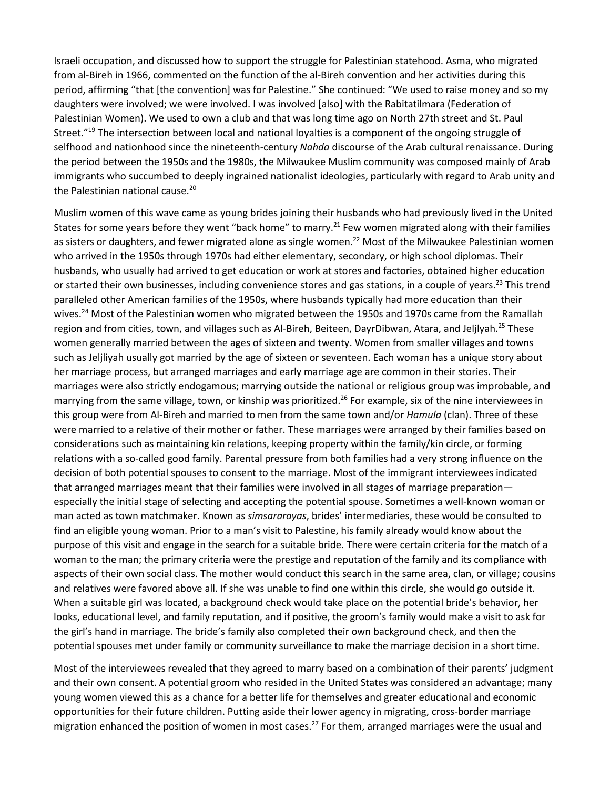Israeli occupation, and discussed how to support the struggle for Palestinian statehood. Asma, who migrated from al-Bireh in 1966, commented on the function of the al-Bireh convention and her activities during this period, affirming "that [the convention] was for Palestine." She continued: "We used to raise money and so my daughters were involved; we were involved. I was involved [also] with the Rabitatilmara (Federation of Palestinian Women). We used to own a club and that was long time ago on North 27th street and St. Paul Street."<sup>19</sup> The intersection between local and national loyalties is a component of the ongoing struggle of selfhood and nationhood since the nineteenth-century *Nahda* discourse of the Arab cultural renaissance. During the period between the 1950s and the 1980s, the Milwaukee Muslim community was composed mainly of Arab immigrants who succumbed to deeply ingrained nationalist ideologies, particularly with regard to Arab unity and the Palestinian national cause.<sup>20</sup>

Muslim women of this wave came as young brides joining their husbands who had previously lived in the United States for some years before they went "back home" to marry.<sup>21</sup> Few women migrated along with their families as sisters or daughters, and fewer migrated alone as single women.<sup>22</sup> Most of the Milwaukee Palestinian women who arrived in the 1950s through 1970s had either elementary, secondary, or high school diplomas. Their husbands, who usually had arrived to get education or work at stores and factories, obtained higher education or started their own businesses, including convenience stores and gas stations, in a couple of years.<sup>23</sup> This trend paralleled other American families of the 1950s, where husbands typically had more education than their wives.24 Most of the Palestinian women who migrated between the 1950s and 1970s came from the Ramallah region and from cities, town, and villages such as Al-Bireh, Beiteen, DayrDibwan, Atara, and Jeljlyah.<sup>25</sup> These women generally married between the ages of sixteen and twenty. Women from smaller villages and towns such as Jeljliyah usually got married by the age of sixteen or seventeen. Each woman has a unique story about her marriage process, but arranged marriages and early marriage age are common in their stories. Their marriages were also strictly endogamous; marrying outside the national or religious group was improbable, and marrying from the same village, town, or kinship was prioritized.<sup>26</sup> For example, six of the nine interviewees in this group were from Al-Bireh and married to men from the same town and/or *Hamula* (clan). Three of these were married to a relative of their mother or father. These marriages were arranged by their families based on considerations such as maintaining kin relations, keeping property within the family/kin circle, or forming relations with a so-called good family. Parental pressure from both families had a very strong influence on the decision of both potential spouses to consent to the marriage. Most of the immigrant interviewees indicated that arranged marriages meant that their families were involved in all stages of marriage preparation especially the initial stage of selecting and accepting the potential spouse. Sometimes a well-known woman or man acted as town matchmaker. Known as *simsararayas*, brides' intermediaries, these would be consulted to find an eligible young woman. Prior to a man's visit to Palestine, his family already would know about the purpose of this visit and engage in the search for a suitable bride. There were certain criteria for the match of a woman to the man; the primary criteria were the prestige and reputation of the family and its compliance with aspects of their own social class. The mother would conduct this search in the same area, clan, or village; cousins and relatives were favored above all. If she was unable to find one within this circle, she would go outside it. When a suitable girl was located, a background check would take place on the potential bride's behavior, her looks, educational level, and family reputation, and if positive, the groom's family would make a visit to ask for the girl's hand in marriage. The bride's family also completed their own background check, and then the potential spouses met under family or community surveillance to make the marriage decision in a short time.

Most of the interviewees revealed that they agreed to marry based on a combination of their parents' judgment and their own consent. A potential groom who resided in the United States was considered an advantage; many young women viewed this as a chance for a better life for themselves and greater educational and economic opportunities for their future children. Putting aside their lower agency in migrating, cross-border marriage migration enhanced the position of women in most cases.<sup>27</sup> For them, arranged marriages were the usual and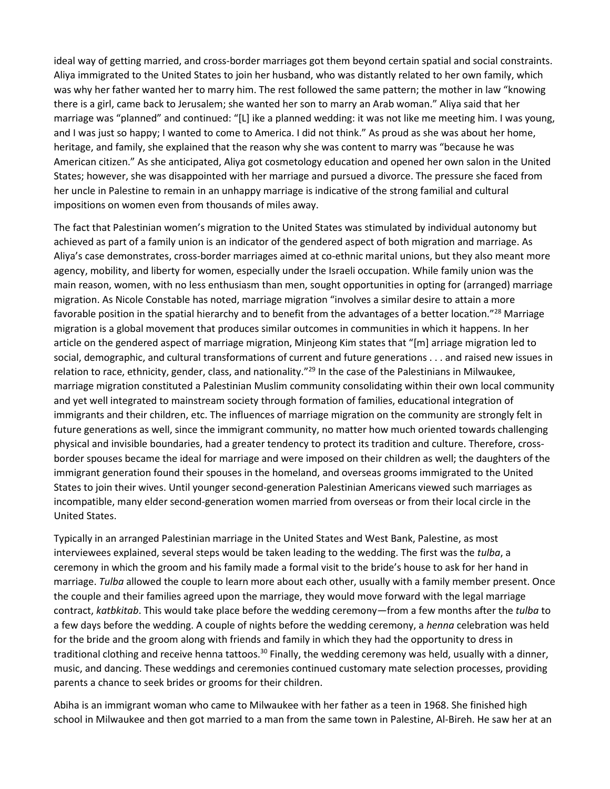ideal way of getting married, and cross-border marriages got them beyond certain spatial and social constraints. Aliya immigrated to the United States to join her husband, who was distantly related to her own family, which was why her father wanted her to marry him. The rest followed the same pattern; the mother in law "knowing there is a girl, came back to Jerusalem; she wanted her son to marry an Arab woman." Aliya said that her marriage was "planned" and continued: "[L] ike a planned wedding: it was not like me meeting him. I was young, and I was just so happy; I wanted to come to America. I did not think." As proud as she was about her home, heritage, and family, she explained that the reason why she was content to marry was "because he was American citizen." As she anticipated, Aliya got cosmetology education and opened her own salon in the United States; however, she was disappointed with her marriage and pursued a divorce. The pressure she faced from her uncle in Palestine to remain in an unhappy marriage is indicative of the strong familial and cultural impositions on women even from thousands of miles away.

The fact that Palestinian women's migration to the United States was stimulated by individual autonomy but achieved as part of a family union is an indicator of the gendered aspect of both migration and marriage. As Aliya's case demonstrates, cross-border marriages aimed at co-ethnic marital unions, but they also meant more agency, mobility, and liberty for women, especially under the Israeli occupation. While family union was the main reason, women, with no less enthusiasm than men, sought opportunities in opting for (arranged) marriage migration. As Nicole Constable has noted, marriage migration "involves a similar desire to attain a more favorable position in the spatial hierarchy and to benefit from the advantages of a better location."28 Marriage migration is a global movement that produces similar outcomes in communities in which it happens. In her article on the gendered aspect of marriage migration, Minjeong Kim states that "[m] arriage migration led to social, demographic, and cultural transformations of current and future generations . . . and raised new issues in relation to race, ethnicity, gender, class, and nationality."<sup>29</sup> In the case of the Palestinians in Milwaukee, marriage migration constituted a Palestinian Muslim community consolidating within their own local community and yet well integrated to mainstream society through formation of families, educational integration of immigrants and their children, etc. The influences of marriage migration on the community are strongly felt in future generations as well, since the immigrant community, no matter how much oriented towards challenging physical and invisible boundaries, had a greater tendency to protect its tradition and culture. Therefore, crossborder spouses became the ideal for marriage and were imposed on their children as well; the daughters of the immigrant generation found their spouses in the homeland, and overseas grooms immigrated to the United States to join their wives. Until younger second-generation Palestinian Americans viewed such marriages as incompatible, many elder second-generation women married from overseas or from their local circle in the United States.

Typically in an arranged Palestinian marriage in the United States and West Bank, Palestine, as most interviewees explained, several steps would be taken leading to the wedding. The first was the *tulba*, a ceremony in which the groom and his family made a formal visit to the bride's house to ask for her hand in marriage. *Tulba* allowed the couple to learn more about each other, usually with a family member present. Once the couple and their families agreed upon the marriage, they would move forward with the legal marriage contract, *katbkitab*. This would take place before the wedding ceremony—from a few months after the *tulba* to a few days before the wedding. A couple of nights before the wedding ceremony, a *henna* celebration was held for the bride and the groom along with friends and family in which they had the opportunity to dress in traditional clothing and receive henna tattoos.<sup>30</sup> Finally, the wedding ceremony was held, usually with a dinner, music, and dancing. These weddings and ceremonies continued customary mate selection processes, providing parents a chance to seek brides or grooms for their children.

Abiha is an immigrant woman who came to Milwaukee with her father as a teen in 1968. She finished high school in Milwaukee and then got married to a man from the same town in Palestine, Al-Bireh. He saw her at an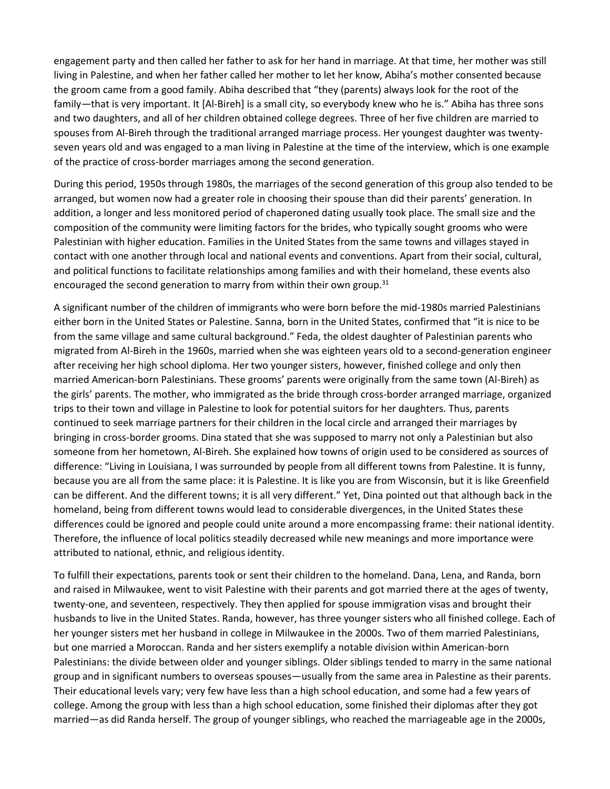engagement party and then called her father to ask for her hand in marriage. At that time, her mother was still living in Palestine, and when her father called her mother to let her know, Abiha's mother consented because the groom came from a good family. Abiha described that "they (parents) always look for the root of the family—that is very important. It [Al-Bireh] is a small city, so everybody knew who he is." Abiha has three sons and two daughters, and all of her children obtained college degrees. Three of her five children are married to spouses from Al-Bireh through the traditional arranged marriage process. Her youngest daughter was twentyseven years old and was engaged to a man living in Palestine at the time of the interview, which is one example of the practice of cross-border marriages among the second generation.

During this period, 1950s through 1980s, the marriages of the second generation of this group also tended to be arranged, but women now had a greater role in choosing their spouse than did their parents' generation. In addition, a longer and less monitored period of chaperoned dating usually took place. The small size and the composition of the community were limiting factors for the brides, who typically sought grooms who were Palestinian with higher education. Families in the United States from the same towns and villages stayed in contact with one another through local and national events and conventions. Apart from their social, cultural, and political functions to facilitate relationships among families and with their homeland, these events also encouraged the second generation to marry from within their own group. $31$ 

A significant number of the children of immigrants who were born before the mid-1980s married Palestinians either born in the United States or Palestine. Sanna, born in the United States, confirmed that "it is nice to be from the same village and same cultural background." Feda, the oldest daughter of Palestinian parents who migrated from Al-Bireh in the 1960s, married when she was eighteen years old to a second-generation engineer after receiving her high school diploma. Her two younger sisters, however, finished college and only then married American-born Palestinians. These grooms' parents were originally from the same town (Al-Bireh) as the girls' parents. The mother, who immigrated as the bride through cross-border arranged marriage, organized trips to their town and village in Palestine to look for potential suitors for her daughters. Thus, parents continued to seek marriage partners for their children in the local circle and arranged their marriages by bringing in cross-border grooms. Dina stated that she was supposed to marry not only a Palestinian but also someone from her hometown, Al-Bireh. She explained how towns of origin used to be considered as sources of difference: "Living in Louisiana, I was surrounded by people from all different towns from Palestine. It is funny, because you are all from the same place: it is Palestine. It is like you are from Wisconsin, but it is like Greenfield can be different. And the different towns; it is all very different." Yet, Dina pointed out that although back in the homeland, being from different towns would lead to considerable divergences, in the United States these differences could be ignored and people could unite around a more encompassing frame: their national identity. Therefore, the influence of local politics steadily decreased while new meanings and more importance were attributed to national, ethnic, and religious identity.

To fulfill their expectations, parents took or sent their children to the homeland. Dana, Lena, and Randa, born and raised in Milwaukee, went to visit Palestine with their parents and got married there at the ages of twenty, twenty-one, and seventeen, respectively. They then applied for spouse immigration visas and brought their husbands to live in the United States. Randa, however, has three younger sisters who all finished college. Each of her younger sisters met her husband in college in Milwaukee in the 2000s. Two of them married Palestinians, but one married a Moroccan. Randa and her sisters exemplify a notable division within American-born Palestinians: the divide between older and younger siblings. Older siblings tended to marry in the same national group and in significant numbers to overseas spouses—usually from the same area in Palestine as their parents. Their educational levels vary; very few have less than a high school education, and some had a few years of college. Among the group with less than a high school education, some finished their diplomas after they got married—as did Randa herself. The group of younger siblings, who reached the marriageable age in the 2000s,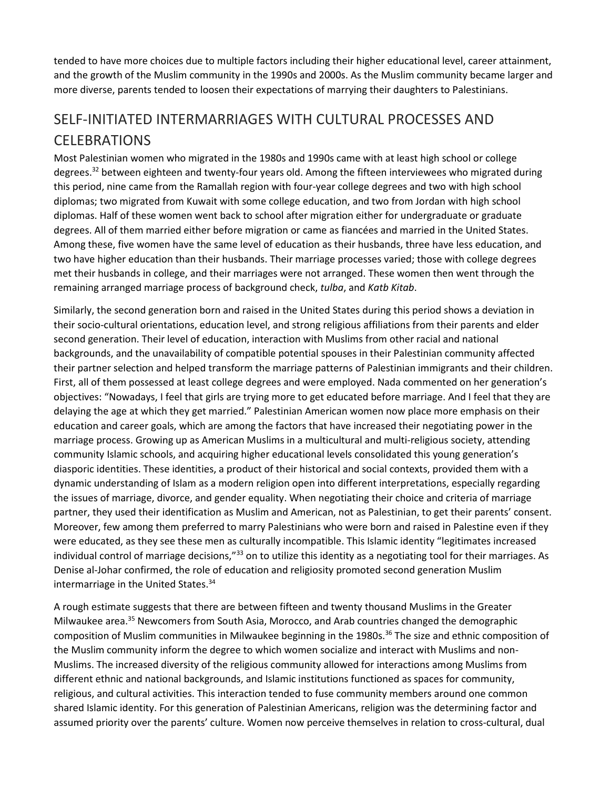tended to have more choices due to multiple factors including their higher educational level, career attainment, and the growth of the Muslim community in the 1990s and 2000s. As the Muslim community became larger and more diverse, parents tended to loosen their expectations of marrying their daughters to Palestinians.

## SELF-INITIATED INTERMARRIAGES WITH CULTURAL PROCESSES AND CELEBRATIONS

Most Palestinian women who migrated in the 1980s and 1990s came with at least high school or college degrees.<sup>32</sup> between eighteen and twenty-four years old. Among the fifteen interviewees who migrated during this period, nine came from the Ramallah region with four-year college degrees and two with high school diplomas; two migrated from Kuwait with some college education, and two from Jordan with high school diplomas. Half of these women went back to school after migration either for undergraduate or graduate degrees. All of them married either before migration or came as fiancées and married in the United States. Among these, five women have the same level of education as their husbands, three have less education, and two have higher education than their husbands. Their marriage processes varied; those with college degrees met their husbands in college, and their marriages were not arranged. These women then went through the remaining arranged marriage process of background check, *tulba*, and *Katb Kitab*.

Similarly, the second generation born and raised in the United States during this period shows a deviation in their socio-cultural orientations, education level, and strong religious affiliations from their parents and elder second generation. Their level of education, interaction with Muslims from other racial and national backgrounds, and the unavailability of compatible potential spouses in their Palestinian community affected their partner selection and helped transform the marriage patterns of Palestinian immigrants and their children. First, all of them possessed at least college degrees and were employed. Nada commented on her generation's objectives: "Nowadays, I feel that girls are trying more to get educated before marriage. And I feel that they are delaying the age at which they get married." Palestinian American women now place more emphasis on their education and career goals, which are among the factors that have increased their negotiating power in the marriage process. Growing up as American Muslims in a multicultural and multi-religious society, attending community Islamic schools, and acquiring higher educational levels consolidated this young generation's diasporic identities. These identities, a product of their historical and social contexts, provided them with a dynamic understanding of Islam as a modern religion open into different interpretations, especially regarding the issues of marriage, divorce, and gender equality. When negotiating their choice and criteria of marriage partner, they used their identification as Muslim and American, not as Palestinian, to get their parents' consent. Moreover, few among them preferred to marry Palestinians who were born and raised in Palestine even if they were educated, as they see these men as culturally incompatible. This Islamic identity "legitimates increased individual control of marriage decisions,"<sup>33</sup> on to utilize this identity as a negotiating tool for their marriages. As Denise al-Johar confirmed, the role of education and religiosity promoted second generation Muslim intermarriage in the United States.<sup>34</sup>

A rough estimate suggests that there are between fifteen and twenty thousand Muslims in the Greater Milwaukee area.<sup>35</sup> Newcomers from South Asia, Morocco, and Arab countries changed the demographic composition of Muslim communities in Milwaukee beginning in the 1980s.<sup>36</sup> The size and ethnic composition of the Muslim community inform the degree to which women socialize and interact with Muslims and non-Muslims. The increased diversity of the religious community allowed for interactions among Muslims from different ethnic and national backgrounds, and Islamic institutions functioned as spaces for community, religious, and cultural activities. This interaction tended to fuse community members around one common shared Islamic identity. For this generation of Palestinian Americans, religion was the determining factor and assumed priority over the parents' culture. Women now perceive themselves in relation to cross-cultural, dual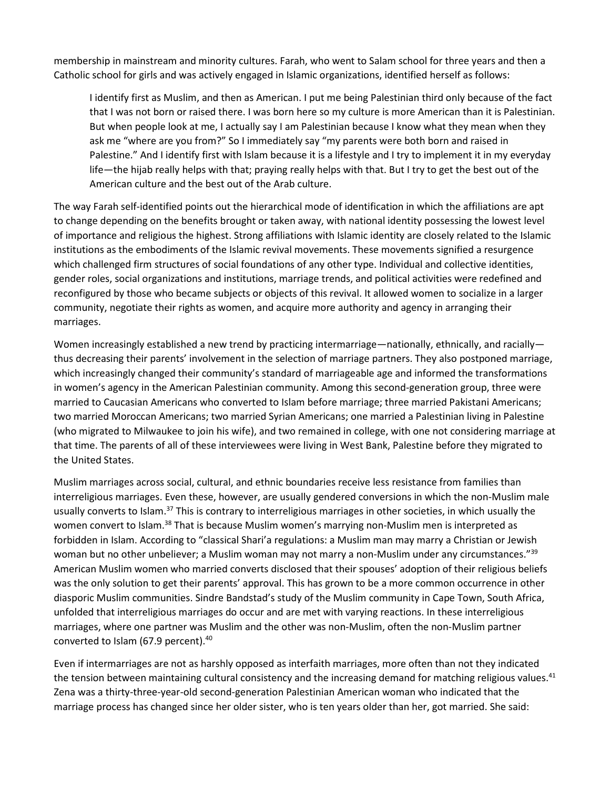membership in mainstream and minority cultures. Farah, who went to Salam school for three years and then a Catholic school for girls and was actively engaged in Islamic organizations, identified herself as follows:

I identify first as Muslim, and then as American. I put me being Palestinian third only because of the fact that I was not born or raised there. I was born here so my culture is more American than it is Palestinian. But when people look at me, I actually say I am Palestinian because I know what they mean when they ask me "where are you from?" So I immediately say "my parents were both born and raised in Palestine." And I identify first with Islam because it is a lifestyle and I try to implement it in my everyday life—the hijab really helps with that; praying really helps with that. But I try to get the best out of the American culture and the best out of the Arab culture.

The way Farah self-identified points out the hierarchical mode of identification in which the affiliations are apt to change depending on the benefits brought or taken away, with national identity possessing the lowest level of importance and religious the highest. Strong affiliations with Islamic identity are closely related to the Islamic institutions as the embodiments of the Islamic revival movements. These movements signified a resurgence which challenged firm structures of social foundations of any other type. Individual and collective identities, gender roles, social organizations and institutions, marriage trends, and political activities were redefined and reconfigured by those who became subjects or objects of this revival. It allowed women to socialize in a larger community, negotiate their rights as women, and acquire more authority and agency in arranging their marriages.

Women increasingly established a new trend by practicing intermarriage—nationally, ethnically, and racially thus decreasing their parents' involvement in the selection of marriage partners. They also postponed marriage, which increasingly changed their community's standard of marriageable age and informed the transformations in women's agency in the American Palestinian community. Among this second-generation group, three were married to Caucasian Americans who converted to Islam before marriage; three married Pakistani Americans; two married Moroccan Americans; two married Syrian Americans; one married a Palestinian living in Palestine (who migrated to Milwaukee to join his wife), and two remained in college, with one not considering marriage at that time. The parents of all of these interviewees were living in West Bank, Palestine before they migrated to the United States.

Muslim marriages across social, cultural, and ethnic boundaries receive less resistance from families than interreligious marriages. Even these, however, are usually gendered conversions in which the non-Muslim male usually converts to Islam.<sup>37</sup> This is contrary to interreligious marriages in other societies, in which usually the women convert to Islam.<sup>38</sup> That is because Muslim women's marrying non-Muslim men is interpreted as forbidden in Islam. According to "classical Shari'a regulations: a Muslim man may marry a Christian or Jewish woman but no other unbeliever; a Muslim woman may not marry a non-Muslim under any circumstances."<sup>39</sup> American Muslim women who married converts disclosed that their spouses' adoption of their religious beliefs was the only solution to get their parents' approval. This has grown to be a more common occurrence in other diasporic Muslim communities. Sindre Bandstad's study of the Muslim community in Cape Town, South Africa, unfolded that interreligious marriages do occur and are met with varying reactions. In these interreligious marriages, where one partner was Muslim and the other was non-Muslim, often the non-Muslim partner converted to Islam (67.9 percent).<sup>40</sup>

Even if intermarriages are not as harshly opposed as interfaith marriages, more often than not they indicated the tension between maintaining cultural consistency and the increasing demand for matching religious values.<sup>41</sup> Zena was a thirty-three-year-old second-generation Palestinian American woman who indicated that the marriage process has changed since her older sister, who is ten years older than her, got married. She said: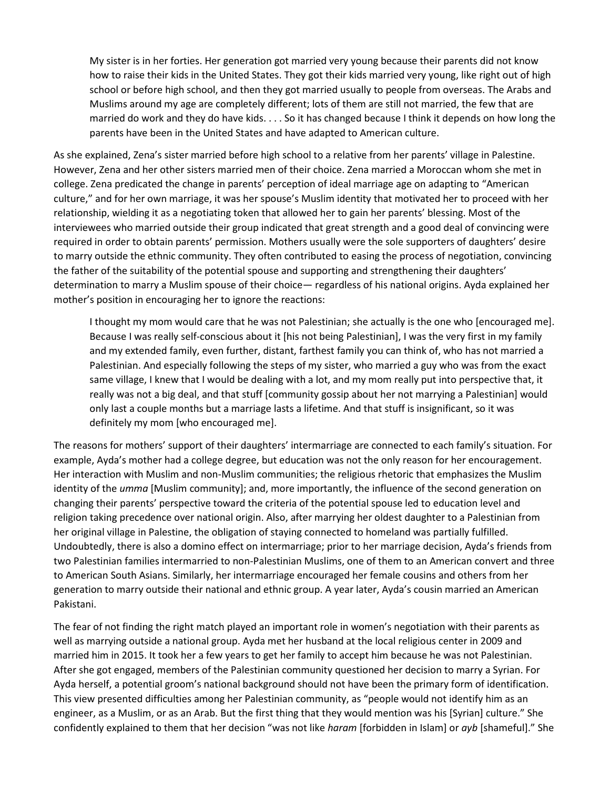My sister is in her forties. Her generation got married very young because their parents did not know how to raise their kids in the United States. They got their kids married very young, like right out of high school or before high school, and then they got married usually to people from overseas. The Arabs and Muslims around my age are completely different; lots of them are still not married, the few that are married do work and they do have kids. . . . So it has changed because I think it depends on how long the parents have been in the United States and have adapted to American culture.

As she explained, Zena's sister married before high school to a relative from her parents' village in Palestine. However, Zena and her other sisters married men of their choice. Zena married a Moroccan whom she met in college. Zena predicated the change in parents' perception of ideal marriage age on adapting to "American culture," and for her own marriage, it was her spouse's Muslim identity that motivated her to proceed with her relationship, wielding it as a negotiating token that allowed her to gain her parents' blessing. Most of the interviewees who married outside their group indicated that great strength and a good deal of convincing were required in order to obtain parents' permission. Mothers usually were the sole supporters of daughters' desire to marry outside the ethnic community. They often contributed to easing the process of negotiation, convincing the father of the suitability of the potential spouse and supporting and strengthening their daughters' determination to marry a Muslim spouse of their choice— regardless of his national origins. Ayda explained her mother's position in encouraging her to ignore the reactions:

I thought my mom would care that he was not Palestinian; she actually is the one who [encouraged me]. Because I was really self-conscious about it [his not being Palestinian], I was the very first in my family and my extended family, even further, distant, farthest family you can think of, who has not married a Palestinian. And especially following the steps of my sister, who married a guy who was from the exact same village, I knew that I would be dealing with a lot, and my mom really put into perspective that, it really was not a big deal, and that stuff [community gossip about her not marrying a Palestinian] would only last a couple months but a marriage lasts a lifetime. And that stuff is insignificant, so it was definitely my mom [who encouraged me].

The reasons for mothers' support of their daughters' intermarriage are connected to each family's situation. For example, Ayda's mother had a college degree, but education was not the only reason for her encouragement. Her interaction with Muslim and non-Muslim communities; the religious rhetoric that emphasizes the Muslim identity of the *umma* [Muslim community]; and, more importantly, the influence of the second generation on changing their parents' perspective toward the criteria of the potential spouse led to education level and religion taking precedence over national origin. Also, after marrying her oldest daughter to a Palestinian from her original village in Palestine, the obligation of staying connected to homeland was partially fulfilled. Undoubtedly, there is also a domino effect on intermarriage; prior to her marriage decision, Ayda's friends from two Palestinian families intermarried to non-Palestinian Muslims, one of them to an American convert and three to American South Asians. Similarly, her intermarriage encouraged her female cousins and others from her generation to marry outside their national and ethnic group. A year later, Ayda's cousin married an American Pakistani.

The fear of not finding the right match played an important role in women's negotiation with their parents as well as marrying outside a national group. Ayda met her husband at the local religious center in 2009 and married him in 2015. It took her a few years to get her family to accept him because he was not Palestinian. After she got engaged, members of the Palestinian community questioned her decision to marry a Syrian. For Ayda herself, a potential groom's national background should not have been the primary form of identification. This view presented difficulties among her Palestinian community, as "people would not identify him as an engineer, as a Muslim, or as an Arab. But the first thing that they would mention was his [Syrian] culture." She confidently explained to them that her decision "was not like *haram* [forbidden in Islam] or *ayb* [shameful]." She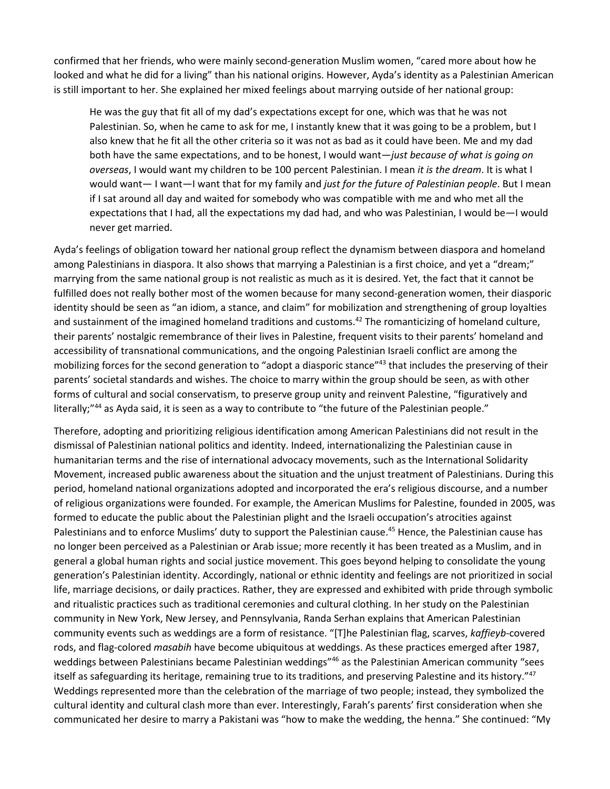confirmed that her friends, who were mainly second-generation Muslim women, "cared more about how he looked and what he did for a living" than his national origins. However, Ayda's identity as a Palestinian American is still important to her. She explained her mixed feelings about marrying outside of her national group:

He was the guy that fit all of my dad's expectations except for one, which was that he was not Palestinian. So, when he came to ask for me, I instantly knew that it was going to be a problem, but I also knew that he fit all the other criteria so it was not as bad as it could have been. Me and my dad both have the same expectations, and to be honest, I would want—*just because of what is going on overseas*, I would want my children to be 100 percent Palestinian. I mean *it is the dream*. It is what I would want— I want—I want that for my family and *just for the future of Palestinian people*. But I mean if I sat around all day and waited for somebody who was compatible with me and who met all the expectations that I had, all the expectations my dad had, and who was Palestinian, I would be—I would never get married.

Ayda's feelings of obligation toward her national group reflect the dynamism between diaspora and homeland among Palestinians in diaspora. It also shows that marrying a Palestinian is a first choice, and yet a "dream;" marrying from the same national group is not realistic as much as it is desired. Yet, the fact that it cannot be fulfilled does not really bother most of the women because for many second-generation women, their diasporic identity should be seen as "an idiom, a stance, and claim" for mobilization and strengthening of group loyalties and sustainment of the imagined homeland traditions and customs.<sup>42</sup> The romanticizing of homeland culture, their parents' nostalgic remembrance of their lives in Palestine, frequent visits to their parents' homeland and accessibility of transnational communications, and the ongoing Palestinian Israeli conflict are among the mobilizing forces for the second generation to "adopt a diasporic stance"<sup>43</sup> that includes the preserving of their parents' societal standards and wishes. The choice to marry within the group should be seen, as with other forms of cultural and social conservatism, to preserve group unity and reinvent Palestine, "figuratively and literally;"<sup>44</sup> as Ayda said, it is seen as a way to contribute to "the future of the Palestinian people."

Therefore, adopting and prioritizing religious identification among American Palestinians did not result in the dismissal of Palestinian national politics and identity. Indeed, internationalizing the Palestinian cause in humanitarian terms and the rise of international advocacy movements, such as the International Solidarity Movement, increased public awareness about the situation and the unjust treatment of Palestinians. During this period, homeland national organizations adopted and incorporated the era's religious discourse, and a number of religious organizations were founded. For example, the American Muslims for Palestine, founded in 2005, was formed to educate the public about the Palestinian plight and the Israeli occupation's atrocities against Palestinians and to enforce Muslims' duty to support the Palestinian cause.<sup>45</sup> Hence, the Palestinian cause has no longer been perceived as a Palestinian or Arab issue; more recently it has been treated as a Muslim, and in general a global human rights and social justice movement. This goes beyond helping to consolidate the young generation's Palestinian identity. Accordingly, national or ethnic identity and feelings are not prioritized in social life, marriage decisions, or daily practices. Rather, they are expressed and exhibited with pride through symbolic and ritualistic practices such as traditional ceremonies and cultural clothing. In her study on the Palestinian community in New York, New Jersey, and Pennsylvania, Randa Serhan explains that American Palestinian community events such as weddings are a form of resistance. "[T]he Palestinian flag, scarves, *kaffieyb*-covered rods, and flag-colored *masabih* have become ubiquitous at weddings. As these practices emerged after 1987, weddings between Palestinians became Palestinian weddings"<sup>46</sup> as the Palestinian American community "sees itself as safeguarding its heritage, remaining true to its traditions, and preserving Palestine and its history."47 Weddings represented more than the celebration of the marriage of two people; instead, they symbolized the cultural identity and cultural clash more than ever. Interestingly, Farah's parents' first consideration when she communicated her desire to marry a Pakistani was "how to make the wedding, the henna." She continued: "My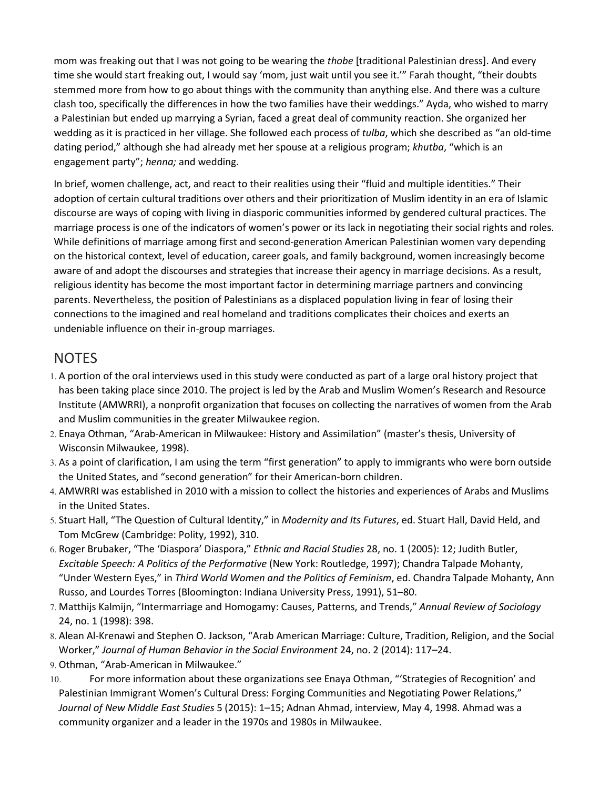mom was freaking out that I was not going to be wearing the *thobe* [traditional Palestinian dress]. And every time she would start freaking out, I would say 'mom, just wait until you see it.'" Farah thought, "their doubts stemmed more from how to go about things with the community than anything else. And there was a culture clash too, specifically the differences in how the two families have their weddings." Ayda, who wished to marry a Palestinian but ended up marrying a Syrian, faced a great deal of community reaction. She organized her wedding as it is practiced in her village. She followed each process of *tulba*, which she described as "an old-time dating period," although she had already met her spouse at a religious program; *khutba*, "which is an engagement party"; *henna;* and wedding.

In brief, women challenge, act, and react to their realities using their "fluid and multiple identities." Their adoption of certain cultural traditions over others and their prioritization of Muslim identity in an era of Islamic discourse are ways of coping with living in diasporic communities informed by gendered cultural practices. The marriage process is one of the indicators of women's power or its lack in negotiating their social rights and roles. While definitions of marriage among first and second-generation American Palestinian women vary depending on the historical context, level of education, career goals, and family background, women increasingly become aware of and adopt the discourses and strategies that increase their agency in marriage decisions. As a result, religious identity has become the most important factor in determining marriage partners and convincing parents. Nevertheless, the position of Palestinians as a displaced population living in fear of losing their connections to the imagined and real homeland and traditions complicates their choices and exerts an undeniable influence on their in-group marriages.

## NOTES

- 1. A portion of the oral interviews used in this study were conducted as part of a large oral history project that has been taking place since 2010. The project is led by the Arab and Muslim Women's Research and Resource Institute (AMWRRI), a nonprofit organization that focuses on collecting the narratives of women from the Arab and Muslim communities in the greater Milwaukee region.
- 2. Enaya Othman, "Arab-American in Milwaukee: History and Assimilation" (master's thesis, University of Wisconsin Milwaukee, 1998).
- 3. As a point of clarification, I am using the term "first generation" to apply to immigrants who were born outside the United States, and "second generation" for their American-born children.
- 4. AMWRRI was established in 2010 with a mission to collect the histories and experiences of Arabs and Muslims in the United States.
- 5. Stuart Hall, "The Question of Cultural Identity," in *Modernity and Its Futures*, ed. Stuart Hall, David Held, and Tom McGrew (Cambridge: Polity, 1992), 310.
- 6. Roger Brubaker, "The 'Diaspora' Diaspora," *Ethnic and Racial Studies* 28, no. 1 (2005): 12; Judith Butler, *Excitable Speech: A Politics of the Performative* (New York: Routledge, 1997); Chandra Talpade Mohanty, "Under Western Eyes," in *Third World Women and the Politics of Feminism*, ed. Chandra Talpade Mohanty, Ann Russo, and Lourdes Torres (Bloomington: Indiana University Press, 1991), 51–80.
- 7. Matthijs Kalmijn, "Intermarriage and Homogamy: Causes, Patterns, and Trends," *Annual Review of Sociology*  24, no. 1 (1998): 398.
- 8. Alean Al-Krenawi and Stephen O. Jackson, "Arab American Marriage: Culture, Tradition, Religion, and the Social Worker," *Journal of Human Behavior in the Social Environment* 24, no. 2 (2014): 117–24.
- 9. Othman, "Arab-American in Milwaukee."
- 10. For more information about these organizations see Enaya Othman, "'Strategies of Recognition' and Palestinian Immigrant Women's Cultural Dress: Forging Communities and Negotiating Power Relations," *Journal of New Middle East Studies* 5 (2015): 1–15; Adnan Ahmad, interview, May 4, 1998. Ahmad was a community organizer and a leader in the 1970s and 1980s in Milwaukee.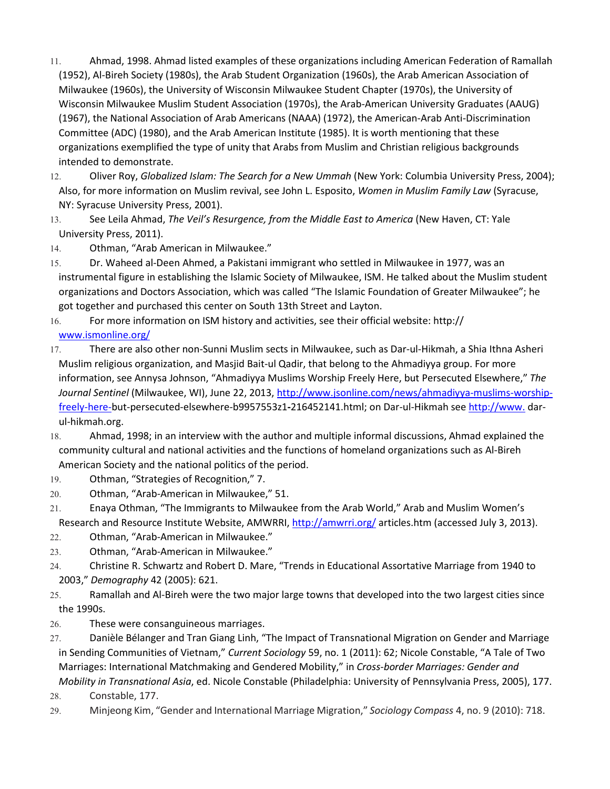- 11. Ahmad, 1998. Ahmad listed examples of these organizations including American Federation of Ramallah (1952), Al-Bireh Society (1980s), the Arab Student Organization (1960s), the Arab American Association of Milwaukee (1960s), the University of Wisconsin Milwaukee Student Chapter (1970s), the University of Wisconsin Milwaukee Muslim Student Association (1970s), the Arab-American University Graduates (AAUG) (1967), the National Association of Arab Americans (NAAA) (1972), the American-Arab Anti-Discrimination Committee (ADC) (1980), and the Arab American Institute (1985). It is worth mentioning that these organizations exemplified the type of unity that Arabs from Muslim and Christian religious backgrounds intended to demonstrate.
- 12. Oliver Roy, *Globalized Islam: The Search for a New Ummah* (New York: Columbia University Press, 2004); Also, for more information on Muslim revival, see John L. Esposito, *Women in Muslim Family Law* (Syracuse, NY: Syracuse University Press, 2001).
- 13. See Leila Ahmad, *The Veil's Resurgence, from the Middle East to America* (New Haven, CT: Yale University Press, 2011).
- 14. Othman, "Arab American in Milwaukee."
- 15. Dr. Waheed al-Deen Ahmed, a Pakistani immigrant who settled in Milwaukee in 1977, was an instrumental figure in establishing the Islamic Society of Milwaukee, ISM. He talked about the Muslim student organizations and Doctors Association, which was called "The Islamic Foundation of Greater Milwaukee"; he got together and purchased this center on South 13th Street and Layton.
- 16. For more information on ISM history and activities, see their official website: http:// [www.ismonline.org/](http://www.ismonline.org/)
- 17. There are also other non-Sunni Muslim sects in Milwaukee, such as Dar-ul-Hikmah, a Shia Ithna Asheri Muslim religious organization, and Masjid Bait-ul Qadir, that belong to the Ahmadiyya group. For more information, see Annysa Johnson, "Ahmadiyya Muslims Worship Freely Here, but Persecuted Elsewhere," *The Journal Sentinel* (Milwaukee, WI), June 22, 2013, [http://www.jsonline.com/news/ahmadiyya-muslims-worship](http://www.jsonline.com/news/ahmadiyya-muslims-worship-freely-here-)[freely-here-b](http://www.jsonline.com/news/ahmadiyya-muslims-worship-freely-here-)ut-persecuted-elsewhere-b9957553z1**-**216452141.html; on Dar-ul-Hikmah see [http://www.](http://www/) darul-hikmah.org.
- 18. Ahmad, 1998; in an interview with the author and multiple informal discussions, Ahmad explained the community cultural and national activities and the functions of homeland organizations such as Al-Bireh American Society and the national politics of the period.
- 19. Othman, "Strategies of Recognition," 7.
- 20. Othman, "Arab-American in Milwaukee," 51.
- 21. Enaya Othman, "The Immigrants to Milwaukee from the Arab World," Arab and Muslim Women's Research and Resource Institute Website, AMWRRI, <http://amwrri.org/> articles.htm (accessed July 3, 2013).
- 22. Othman, "Arab-American in Milwaukee."
- 23. Othman, "Arab-American in Milwaukee."
- 24. Christine R. Schwartz and Robert D. Mare, "Trends in Educational Assortative Marriage from 1940 to 2003," *Demography* 42 (2005): 621.
- 25. Ramallah and Al-Bireh were the two major large towns that developed into the two largest cities since the 1990s.
- 26. These were consanguineous marriages.
- 27. Danièle Bélanger and Tran Giang Linh, "The Impact of Transnational Migration on Gender and Marriage in Sending Communities of Vietnam," *Current Sociology* 59, no. 1 (2011): 62; Nicole Constable, "A Tale of Two Marriages: International Matchmaking and Gendered Mobility," in *Cross-border Marriages: Gender and Mobility in Transnational Asia*, ed. Nicole Constable (Philadelphia: University of Pennsylvania Press, 2005), 177.
- 28. Constable, 177.
- 29. Minjeong Kim, "Gender and International Marriage Migration," *Sociology Compass* 4, no. 9 (2010): 718.